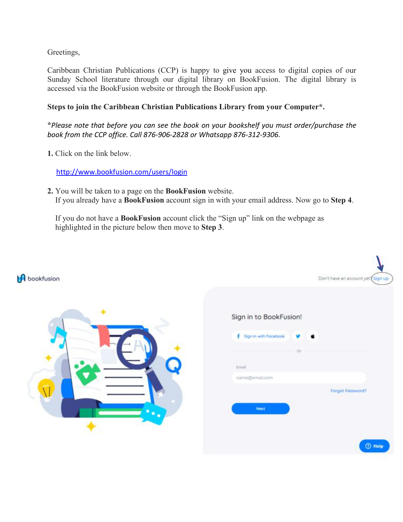Greetings,

Caribbean Christian Publications (CCP) is happy to give you access to digital copies of our Sunday School literature through our digital library on BookFusion. The digital library is accessed via the BookFusion website or through the BookFusion app.

## **Steps to join the Caribbean Christian Publications Library from your Computer\*.**

**\****Please note that before you can see the book on your bookshelf you must order/purchase the book from the CCP office. Call 876-906-2828 or Whatsapp 876-312-9306.*

**1.** Click on the link below.

<http://www.bookfusion.com/users/login>

**2.** You will be taken to a page on the **BookFusion** website. If you already have a **BookFusion** account sign in with your email address. Now go to **Step 4**.

If you do not have a **BookFusion** account click the "Sign up" link on the webpage as highlighted in the picture below then move to **Step 3**.

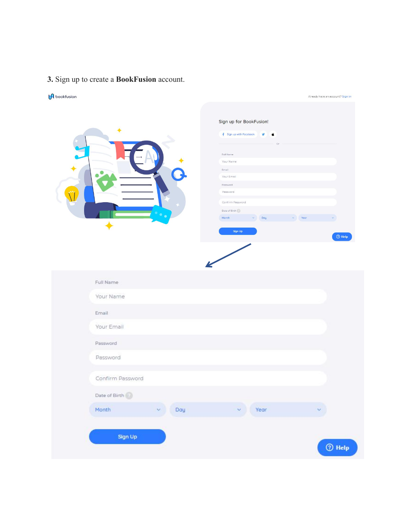## **3.** Sign up to create a **BookFusion** account.

## UA

| bookfusion                                                              | Already have an account? Sign in                                                                                                                                                                                                                                                               |
|-------------------------------------------------------------------------|------------------------------------------------------------------------------------------------------------------------------------------------------------------------------------------------------------------------------------------------------------------------------------------------|
| ٠                                                                       | Sign up for BookFusion!<br>f Sign up with Facebook<br>v<br>ú<br>$\Omega$<br>Full Name<br>Your Name<br>Email<br>Your Email<br>Password<br>Password<br>Confirm Password<br>Date of Birth $\langle \cdot \rangle$<br>Month<br>$\times$ Day<br>$\mathsf{v}$ Year<br>Sign Up<br>$\circledcirc$ Help |
| Full Name<br>Your Name<br>Email                                         |                                                                                                                                                                                                                                                                                                |
| Your Email<br>Password                                                  |                                                                                                                                                                                                                                                                                                |
| Password<br>Confirm Password                                            |                                                                                                                                                                                                                                                                                                |
| Date of Birth $\langle \cdot \rangle$<br>Month<br>Day<br>$\mathbf{v}$ . | Year<br>×<br>×.                                                                                                                                                                                                                                                                                |
| Sign Up                                                                 | $①$ Help                                                                                                                                                                                                                                                                                       |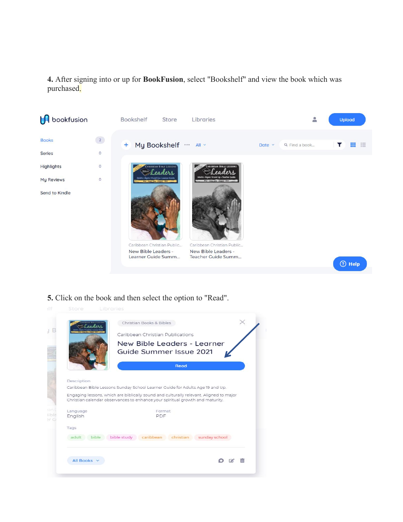**4.** After signing into or up for **BookFusion**, select "Bookshelf" and view the book which was purchased.



**5.** Click on the book and then select the option to "Read".

|                | Christian Books & Bibles                                                                                                                                                |
|----------------|-------------------------------------------------------------------------------------------------------------------------------------------------------------------------|
|                | Caribbean Christian Publications                                                                                                                                        |
|                | New Bible Leaders - Learner                                                                                                                                             |
|                | Guide Summer Issue 2021                                                                                                                                                 |
|                | Read                                                                                                                                                                    |
| Description    |                                                                                                                                                                         |
|                | Caribbean Bible Lessons Sunday School Learner Guide for Adults Age 19 and Up.                                                                                           |
|                | Engaging lessons, which are biblically sound and culturally relevant. Aligned to major<br>Christian calendar observances to enhance your spiritual growth and maturity. |
| Language       | Format                                                                                                                                                                  |
| English        | PDF                                                                                                                                                                     |
| Tags           |                                                                                                                                                                         |
| adult<br>bible | bible study<br>christian sunday school<br>caribbean                                                                                                                     |
|                |                                                                                                                                                                         |
|                |                                                                                                                                                                         |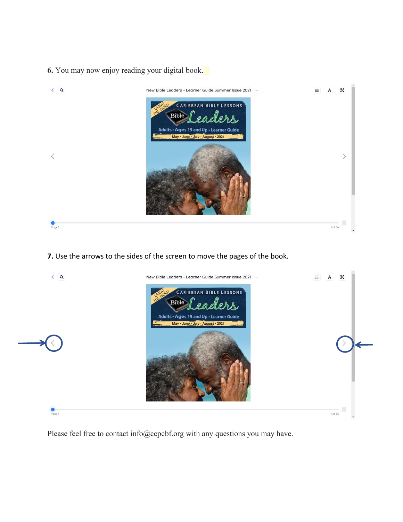**6.** You may now enjoy reading your digital book.



**7.** Use the arrows to the sides of the screen to move the pages of the book.



Please feel free to contact info@ccpcbf.org with any questions you may have.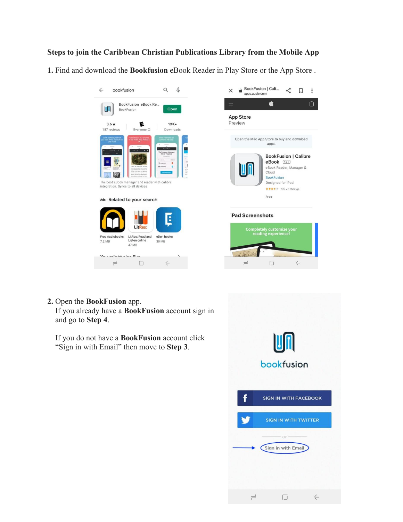## **Steps to join the Caribbean Christian Publications Library from the Mobile App**

**1.** Find and download the **Bookfusion** eBook Reader in Play Store or the App Store .





 $\Box$ 

 $\rightleftharpoons$ 

 $\leftarrow$ 

**2.** Open the **BookFusion** app.

If you already have a **BookFusion** account sign in and go to **Step 4**.

If you do not have a **BookFusion** account click "Sign in with Email" then move to **Step 3**.

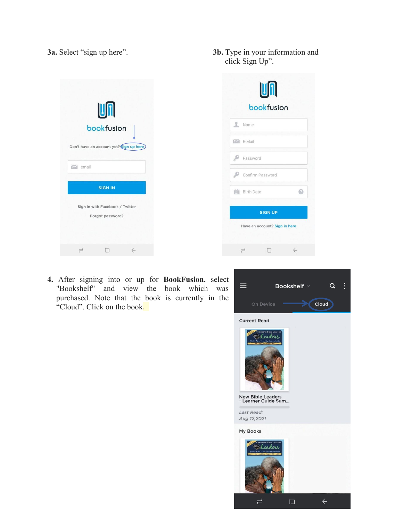|                    | Un<br>bookfusion<br>Don't have an account yet? Sign up here |  |
|--------------------|-------------------------------------------------------------|--|
| $\mathbf{M}$ email |                                                             |  |
|                    | <b>SIGN IN</b>                                              |  |
|                    | Sign in with Facebook / Twitter<br>Forgot password?         |  |
|                    | $\Box$                                                      |  |

**3a.** Select "sign up here". **3b.** Type in your information and click Sign Up".

|   | R Name            |  |
|---|-------------------|--|
|   | $M E$ -Mail       |  |
| ₽ | Password          |  |
|   | Confirm Password  |  |
|   | <b>Birth Date</b> |  |
|   | <b>SIGN UP</b>    |  |

**4.** After signing into or up for **BookFusion**, select  $\mathbb{R}$  **E** "Bookshelf" and view the book which was  $\equiv$  Bookshelf purchased. Note that the book is currently in the on Device "Cloud". Click on the book.

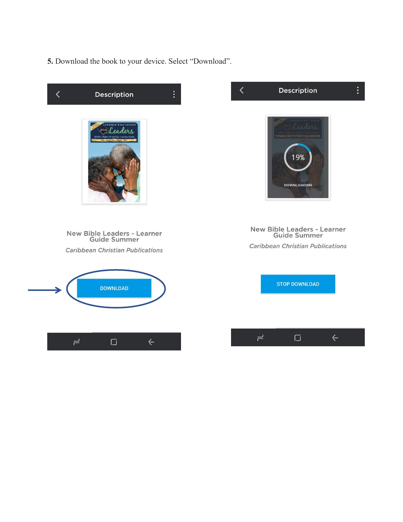**5.** Download the book to your device. Select "Download".

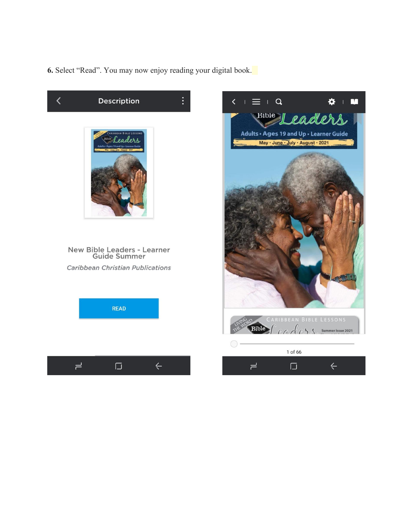**6.** Select "Read". You may now enjoy reading your digital book.